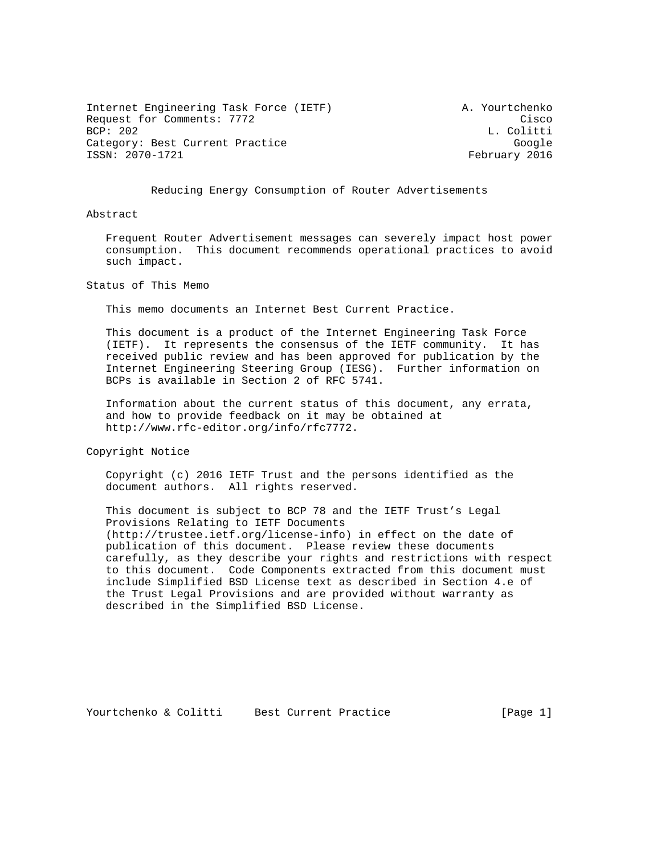Internet Engineering Task Force (IETF) A. Yourtchenko Request for Comments: 7772 Cisco<br>BCP: 202 L. Colitti Category: Best Current Practice Google Google ISSN: 2070-1721 February 2016

L. Colitti

Reducing Energy Consumption of Router Advertisements

Abstract

 Frequent Router Advertisement messages can severely impact host power consumption. This document recommends operational practices to avoid such impact.

Status of This Memo

This memo documents an Internet Best Current Practice.

 This document is a product of the Internet Engineering Task Force (IETF). It represents the consensus of the IETF community. It has received public review and has been approved for publication by the Internet Engineering Steering Group (IESG). Further information on BCPs is available in Section 2 of RFC 5741.

 Information about the current status of this document, any errata, and how to provide feedback on it may be obtained at http://www.rfc-editor.org/info/rfc7772.

Copyright Notice

 Copyright (c) 2016 IETF Trust and the persons identified as the document authors. All rights reserved.

 This document is subject to BCP 78 and the IETF Trust's Legal Provisions Relating to IETF Documents (http://trustee.ietf.org/license-info) in effect on the date of publication of this document. Please review these documents carefully, as they describe your rights and restrictions with respect to this document. Code Components extracted from this document must include Simplified BSD License text as described in Section 4.e of the Trust Legal Provisions and are provided without warranty as described in the Simplified BSD License.

Yourtchenko & Colitti Best Current Practice [Page 1]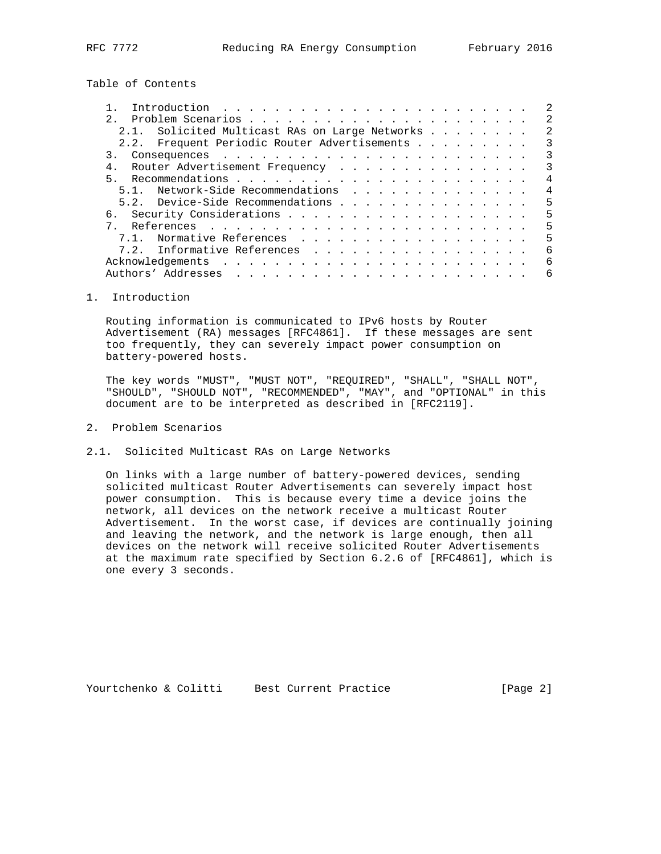Table of Contents

| $2^{\circ}$                                    | 2              |
|------------------------------------------------|----------------|
| 2.1. Solicited Multicast RAs on Large Networks | 2              |
| 2.2. Frequent Periodic Router Advertisements   | 3              |
|                                                | 3              |
| Router Advertisement Frequency                 | 3              |
|                                                | 4              |
| 5.1. Network-Side Recommendations              | $\overline{4}$ |
| 5.2. Device-Side Recommendations               | 5              |
|                                                | 5              |
|                                                | 5              |
| Normative References<br>7.1.                   | 5              |
| 7.2. Informative References                    | 6              |
|                                                | 6              |
|                                                | 6              |
|                                                |                |

## 1. Introduction

 Routing information is communicated to IPv6 hosts by Router Advertisement (RA) messages [RFC4861]. If these messages are sent too frequently, they can severely impact power consumption on battery-powered hosts.

 The key words "MUST", "MUST NOT", "REQUIRED", "SHALL", "SHALL NOT", "SHOULD", "SHOULD NOT", "RECOMMENDED", "MAY", and "OPTIONAL" in this document are to be interpreted as described in [RFC2119].

- 2. Problem Scenarios
- 2.1. Solicited Multicast RAs on Large Networks

 On links with a large number of battery-powered devices, sending solicited multicast Router Advertisements can severely impact host power consumption. This is because every time a device joins the network, all devices on the network receive a multicast Router Advertisement. In the worst case, if devices are continually joining and leaving the network, and the network is large enough, then all devices on the network will receive solicited Router Advertisements at the maximum rate specified by Section 6.2.6 of [RFC4861], which is one every 3 seconds.

Yourtchenko & Colitti Best Current Practice [Page 2]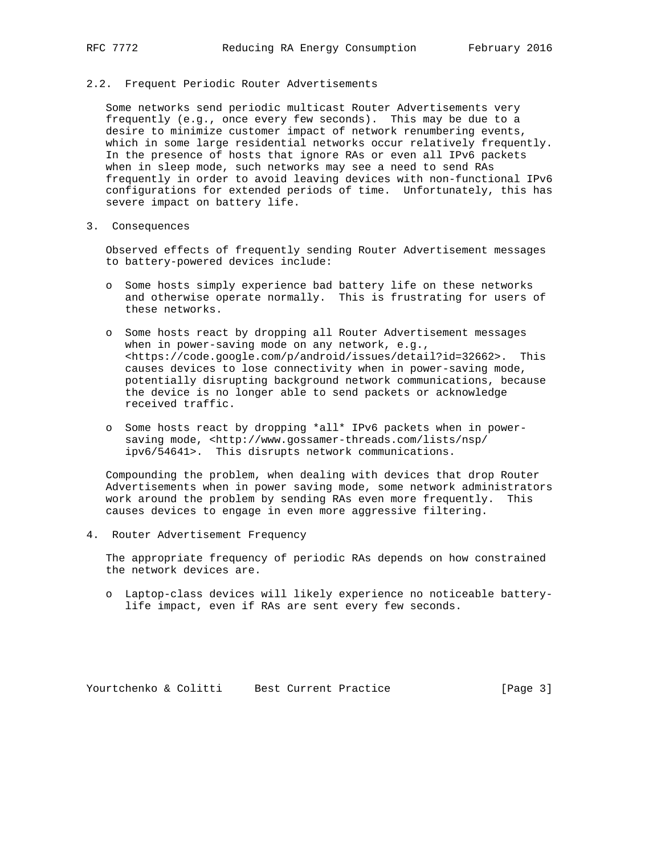## 2.2. Frequent Periodic Router Advertisements

 Some networks send periodic multicast Router Advertisements very frequently (e.g., once every few seconds). This may be due to a desire to minimize customer impact of network renumbering events, which in some large residential networks occur relatively frequently. In the presence of hosts that ignore RAs or even all IPv6 packets when in sleep mode, such networks may see a need to send RAs frequently in order to avoid leaving devices with non-functional IPv6 configurations for extended periods of time. Unfortunately, this has severe impact on battery life.

3. Consequences

 Observed effects of frequently sending Router Advertisement messages to battery-powered devices include:

- o Some hosts simply experience bad battery life on these networks and otherwise operate normally. This is frustrating for users of these networks.
- o Some hosts react by dropping all Router Advertisement messages when in power-saving mode on any network, e.g., <https://code.google.com/p/android/issues/detail?id=32662>. This causes devices to lose connectivity when in power-saving mode, potentially disrupting background network communications, because the device is no longer able to send packets or acknowledge received traffic.
- o Some hosts react by dropping \*all\* IPv6 packets when in power saving mode, <http://www.gossamer-threads.com/lists/nsp/ ipv6/54641>. This disrupts network communications.

 Compounding the problem, when dealing with devices that drop Router Advertisements when in power saving mode, some network administrators work around the problem by sending RAs even more frequently. This causes devices to engage in even more aggressive filtering.

4. Router Advertisement Frequency

 The appropriate frequency of periodic RAs depends on how constrained the network devices are.

 o Laptop-class devices will likely experience no noticeable battery life impact, even if RAs are sent every few seconds.

Yourtchenko & Colitti Best Current Practice [Page 3]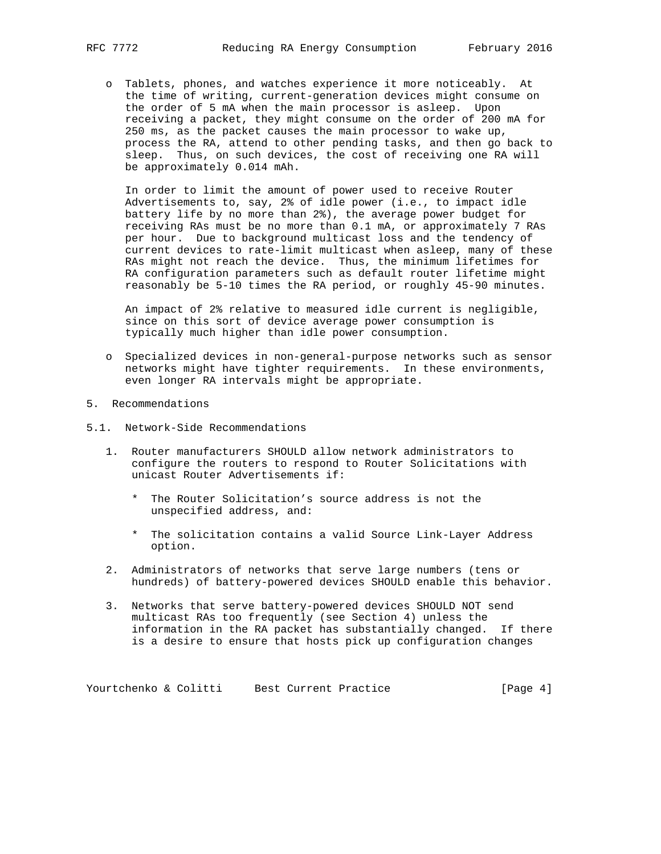o Tablets, phones, and watches experience it more noticeably. At the time of writing, current-generation devices might consume on the order of 5 mA when the main processor is asleep. Upon receiving a packet, they might consume on the order of 200 mA for 250 ms, as the packet causes the main processor to wake up, process the RA, attend to other pending tasks, and then go back to sleep. Thus, on such devices, the cost of receiving one RA will be approximately 0.014 mAh.

 In order to limit the amount of power used to receive Router Advertisements to, say, 2% of idle power (i.e., to impact idle battery life by no more than 2%), the average power budget for receiving RAs must be no more than 0.1 mA, or approximately 7 RAs per hour. Due to background multicast loss and the tendency of current devices to rate-limit multicast when asleep, many of these RAs might not reach the device. Thus, the minimum lifetimes for RA configuration parameters such as default router lifetime might reasonably be 5-10 times the RA period, or roughly 45-90 minutes.

 An impact of 2% relative to measured idle current is negligible, since on this sort of device average power consumption is typically much higher than idle power consumption.

- o Specialized devices in non-general-purpose networks such as sensor networks might have tighter requirements. In these environments, even longer RA intervals might be appropriate.
- 5. Recommendations
- 5.1. Network-Side Recommendations
	- 1. Router manufacturers SHOULD allow network administrators to configure the routers to respond to Router Solicitations with unicast Router Advertisements if:
		- \* The Router Solicitation's source address is not the unspecified address, and:
		- \* The solicitation contains a valid Source Link-Layer Address option.
	- 2. Administrators of networks that serve large numbers (tens or hundreds) of battery-powered devices SHOULD enable this behavior.
	- 3. Networks that serve battery-powered devices SHOULD NOT send multicast RAs too frequently (see Section 4) unless the information in the RA packet has substantially changed. If there is a desire to ensure that hosts pick up configuration changes

Yourtchenko & Colitti Best Current Practice [Page 4]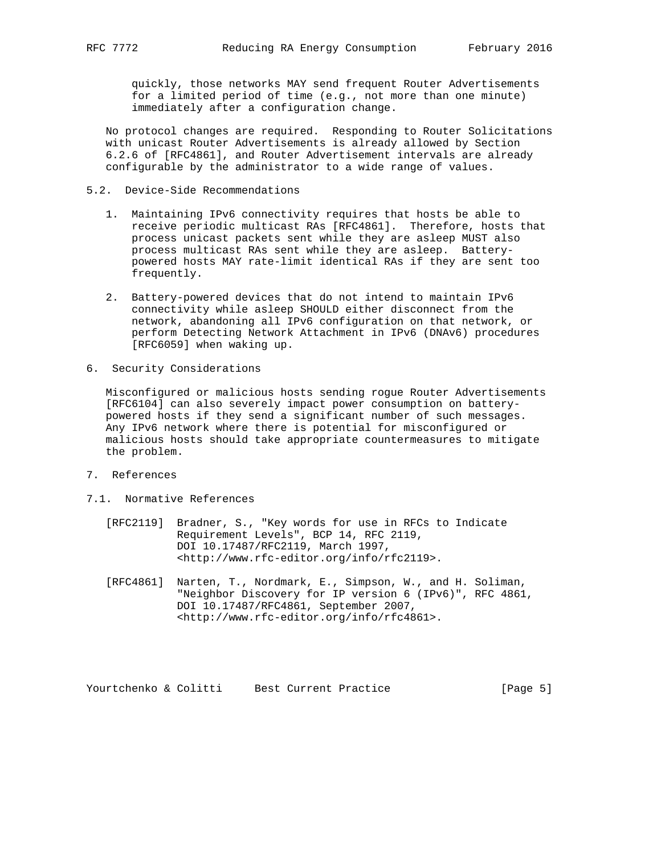quickly, those networks MAY send frequent Router Advertisements for a limited period of time (e.g., not more than one minute) immediately after a configuration change.

 No protocol changes are required. Responding to Router Solicitations with unicast Router Advertisements is already allowed by Section 6.2.6 of [RFC4861], and Router Advertisement intervals are already configurable by the administrator to a wide range of values.

## 5.2. Device-Side Recommendations

- 1. Maintaining IPv6 connectivity requires that hosts be able to receive periodic multicast RAs [RFC4861]. Therefore, hosts that process unicast packets sent while they are asleep MUST also process multicast RAs sent while they are asleep. Battery powered hosts MAY rate-limit identical RAs if they are sent too frequently.
- 2. Battery-powered devices that do not intend to maintain IPv6 connectivity while asleep SHOULD either disconnect from the network, abandoning all IPv6 configuration on that network, or perform Detecting Network Attachment in IPv6 (DNAv6) procedures [RFC6059] when waking up.
- 6. Security Considerations

 Misconfigured or malicious hosts sending rogue Router Advertisements [RFC6104] can also severely impact power consumption on battery powered hosts if they send a significant number of such messages. Any IPv6 network where there is potential for misconfigured or malicious hosts should take appropriate countermeasures to mitigate the problem.

- 7. References
- 7.1. Normative References
	- [RFC2119] Bradner, S., "Key words for use in RFCs to Indicate Requirement Levels", BCP 14, RFC 2119, DOI 10.17487/RFC2119, March 1997, <http://www.rfc-editor.org/info/rfc2119>.
	- [RFC4861] Narten, T., Nordmark, E., Simpson, W., and H. Soliman, "Neighbor Discovery for IP version 6 (IPv6)", RFC 4861, DOI 10.17487/RFC4861, September 2007, <http://www.rfc-editor.org/info/rfc4861>.

Yourtchenko & Colitti Best Current Practice [Page 5]